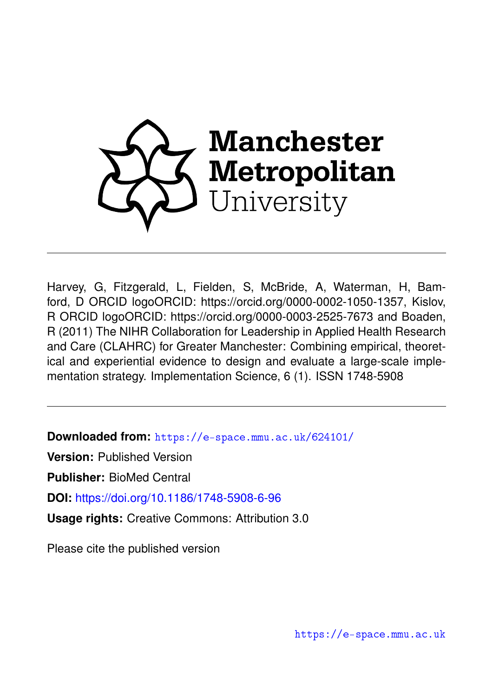

Harvey, G, Fitzgerald, L, Fielden, S, McBride, A, Waterman, H, Bamford, D ORCID logoORCID: https://orcid.org/0000-0002-1050-1357, Kislov, R ORCID logoORCID: https://orcid.org/0000-0003-2525-7673 and Boaden, R (2011) The NIHR Collaboration for Leadership in Applied Health Research and Care (CLAHRC) for Greater Manchester: Combining empirical, theoretical and experiential evidence to design and evaluate a large-scale implementation strategy. Implementation Science, 6 (1). ISSN 1748-5908

**Downloaded from:** <https://e-space.mmu.ac.uk/624101/>

**Version:** Published Version

**Publisher:** BioMed Central

**DOI:** <https://doi.org/10.1186/1748-5908-6-96>

**Usage rights:** Creative Commons: Attribution 3.0

Please cite the published version

<https://e-space.mmu.ac.uk>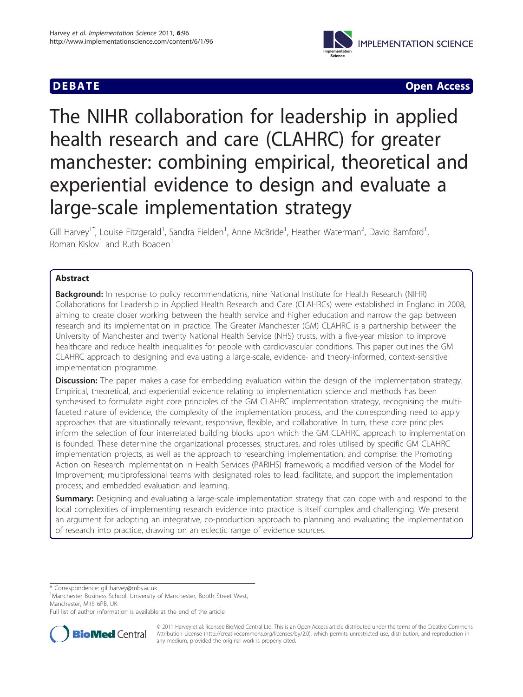

**DEBATE CONSIDERED ACCESS DEBATE** 

# The NIHR collaboration for leadership in applied health research and care (CLAHRC) for greater manchester: combining empirical, theoretical and experiential evidence to design and evaluate a large-scale implementation strategy

Gill Harvey<sup>1\*</sup>, Louise Fitzgerald<sup>1</sup>, Sandra Fielden<sup>1</sup>, Anne McBride<sup>1</sup>, Heather Waterman<sup>2</sup>, David Bamford<sup>1</sup> , Roman Kislov<sup>1</sup> and Ruth Boaden<sup>1</sup>

# Abstract

Background: In response to policy recommendations, nine National Institute for Health Research (NIHR) Collaborations for Leadership in Applied Health Research and Care (CLAHRCs) were established in England in 2008, aiming to create closer working between the health service and higher education and narrow the gap between research and its implementation in practice. The Greater Manchester (GM) CLAHRC is a partnership between the University of Manchester and twenty National Health Service (NHS) trusts, with a five-year mission to improve healthcare and reduce health inequalities for people with cardiovascular conditions. This paper outlines the GM CLAHRC approach to designing and evaluating a large-scale, evidence- and theory-informed, context-sensitive implementation programme.

**Discussion:** The paper makes a case for embedding evaluation within the design of the implementation strategy. Empirical, theoretical, and experiential evidence relating to implementation science and methods has been synthesised to formulate eight core principles of the GM CLAHRC implementation strategy, recognising the multifaceted nature of evidence, the complexity of the implementation process, and the corresponding need to apply approaches that are situationally relevant, responsive, flexible, and collaborative. In turn, these core principles inform the selection of four interrelated building blocks upon which the GM CLAHRC approach to implementation is founded. These determine the organizational processes, structures, and roles utilised by specific GM CLAHRC implementation projects, as well as the approach to researching implementation, and comprise: the Promoting Action on Research Implementation in Health Services (PARIHS) framework; a modified version of the Model for Improvement; multiprofessional teams with designated roles to lead, facilitate, and support the implementation process; and embedded evaluation and learning.

**Summary:** Designing and evaluating a large-scale implementation strategy that can cope with and respond to the local complexities of implementing research evidence into practice is itself complex and challenging. We present an argument for adopting an integrative, co-production approach to planning and evaluating the implementation of research into practice, drawing on an eclectic range of evidence sources.

\* Correspondence: [gill.harvey@mbs.ac.uk](mailto:gill.harvey@mbs.ac.uk)

<sup>1</sup>Manchester Business School, University of Manchester, Booth Street West, Manchester, M15 6PB, UK

Full list of author information is available at the end of the article



© 2011 Harvey et al; licensee BioMed Central Ltd. This is an Open Access article distributed under the terms of the Creative Commons Attribution License [\(http://creativecommons.org/licenses/by/2.0](http://creativecommons.org/licenses/by/2.0)), which permits unrestricted use, distribution, and reproduction in any medium, provided the original work is properly cited.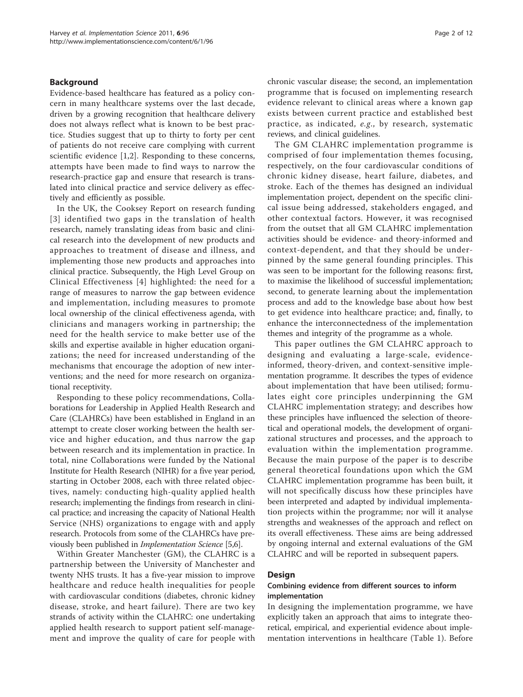#### Background

Evidence-based healthcare has featured as a policy concern in many healthcare systems over the last decade, driven by a growing recognition that healthcare delivery does not always reflect what is known to be best practice. Studies suggest that up to thirty to forty per cent of patients do not receive care complying with current scientific evidence [\[1](#page-11-0),[2\]](#page-11-0). Responding to these concerns, attempts have been made to find ways to narrow the research-practice gap and ensure that research is translated into clinical practice and service delivery as effectively and efficiently as possible.

In the UK, the Cooksey Report on research funding [[3\]](#page-11-0) identified two gaps in the translation of health research, namely translating ideas from basic and clinical research into the development of new products and approaches to treatment of disease and illness, and implementing those new products and approaches into clinical practice. Subsequently, the High Level Group on Clinical Effectiveness [[4\]](#page-11-0) highlighted: the need for a range of measures to narrow the gap between evidence and implementation, including measures to promote local ownership of the clinical effectiveness agenda, with clinicians and managers working in partnership; the need for the health service to make better use of the skills and expertise available in higher education organizations; the need for increased understanding of the mechanisms that encourage the adoption of new interventions; and the need for more research on organizational receptivity.

Responding to these policy recommendations, Collaborations for Leadership in Applied Health Research and Care (CLAHRCs) have been established in England in an attempt to create closer working between the health service and higher education, and thus narrow the gap between research and its implementation in practice. In total, nine Collaborations were funded by the National Institute for Health Research (NIHR) for a five year period, starting in October 2008, each with three related objectives, namely: conducting high-quality applied health research; implementing the findings from research in clinical practice; and increasing the capacity of National Health Service (NHS) organizations to engage with and apply research. Protocols from some of the CLAHRCs have previously been published in Implementation Science [[5](#page-11-0),[6](#page-11-0)].

Within Greater Manchester (GM), the CLAHRC is a partnership between the University of Manchester and twenty NHS trusts. It has a five-year mission to improve healthcare and reduce health inequalities for people with cardiovascular conditions (diabetes, chronic kidney disease, stroke, and heart failure). There are two key strands of activity within the CLAHRC: one undertaking applied health research to support patient self-management and improve the quality of care for people with chronic vascular disease; the second, an implementation programme that is focused on implementing research evidence relevant to clinical areas where a known gap exists between current practice and established best practice, as indicated, e.g., by research, systematic reviews, and clinical guidelines.

The GM CLAHRC implementation programme is comprised of four implementation themes focusing, respectively, on the four cardiovascular conditions of chronic kidney disease, heart failure, diabetes, and stroke. Each of the themes has designed an individual implementation project, dependent on the specific clinical issue being addressed, stakeholders engaged, and other contextual factors. However, it was recognised from the outset that all GM CLAHRC implementation activities should be evidence- and theory-informed and context-dependent, and that they should be underpinned by the same general founding principles. This was seen to be important for the following reasons: first, to maximise the likelihood of successful implementation; second, to generate learning about the implementation process and add to the knowledge base about how best to get evidence into healthcare practice; and, finally, to enhance the interconnectedness of the implementation themes and integrity of the programme as a whole.

This paper outlines the GM CLAHRC approach to designing and evaluating a large-scale, evidenceinformed, theory-driven, and context-sensitive implementation programme. It describes the types of evidence about implementation that have been utilised; formulates eight core principles underpinning the GM CLAHRC implementation strategy; and describes how these principles have influenced the selection of theoretical and operational models, the development of organizational structures and processes, and the approach to evaluation within the implementation programme. Because the main purpose of the paper is to describe general theoretical foundations upon which the GM CLAHRC implementation programme has been built, it will not specifically discuss how these principles have been interpreted and adapted by individual implementation projects within the programme; nor will it analyse strengths and weaknesses of the approach and reflect on its overall effectiveness. These aims are being addressed by ongoing internal and external evaluations of the GM CLAHRC and will be reported in subsequent papers.

#### Design

#### Combining evidence from different sources to inform implementation

In designing the implementation programme, we have explicitly taken an approach that aims to integrate theoretical, empirical, and experiential evidence about implementation interventions in healthcare (Table [1\)](#page-3-0). Before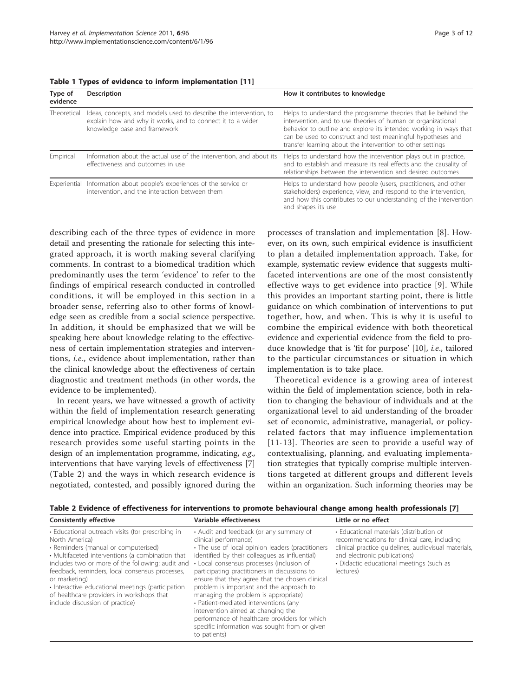| Type of<br>evidence | <b>Description</b>                                                                                                                                              | How it contributes to knowledge                                                                                                                                                                                                                                                                                                  |
|---------------------|-----------------------------------------------------------------------------------------------------------------------------------------------------------------|----------------------------------------------------------------------------------------------------------------------------------------------------------------------------------------------------------------------------------------------------------------------------------------------------------------------------------|
| Theoretical         | Ideas, concepts, and models used to describe the intervention, to<br>explain how and why it works, and to connect it to a wider<br>knowledge base and framework | Helps to understand the programme theories that lie behind the<br>intervention, and to use theories of human or organizational<br>behavior to outline and explore its intended working in ways that<br>can be used to construct and test meaningful hypotheses and<br>transfer learning about the intervention to other settings |
| Empirical           | Information about the actual use of the intervention, and about its<br>effectiveness and outcomes in use                                                        | Helps to understand how the intervention plays out in practice,<br>and to establish and measure its real effects and the causality of<br>relationships between the intervention and desired outcomes                                                                                                                             |
| Experiential        | Information about people's experiences of the service or<br>intervention, and the interaction between them                                                      | Helps to understand how people (users, practitioners, and other<br>stakeholders) experience, view, and respond to the intervention,<br>and how this contributes to our understanding of the intervention<br>and shapes its use                                                                                                   |

<span id="page-3-0"></span>Table 1 Types of evidence to inform implementation [[11\]](#page-11-0)

describing each of the three types of evidence in more detail and presenting the rationale for selecting this integrated approach, it is worth making several clarifying comments. In contrast to a biomedical tradition which predominantly uses the term 'evidence' to refer to the findings of empirical research conducted in controlled conditions, it will be employed in this section in a broader sense, referring also to other forms of knowledge seen as credible from a social science perspective. In addition, it should be emphasized that we will be speaking here about knowledge relating to the effectiveness of certain implementation strategies and interventions, i.e., evidence about implementation, rather than the clinical knowledge about the effectiveness of certain diagnostic and treatment methods (in other words, the evidence to be implemented).

In recent years, we have witnessed a growth of activity within the field of implementation research generating empirical knowledge about how best to implement evidence into practice. Empirical evidence produced by this research provides some useful starting points in the design of an implementation programme, indicating, e.g., interventions that have varying levels of effectiveness [[7](#page-11-0)] (Table 2) and the ways in which research evidence is negotiated, contested, and possibly ignored during the processes of translation and implementation [[8\]](#page-11-0). However, on its own, such empirical evidence is insufficient to plan a detailed implementation approach. Take, for example, systematic review evidence that suggests multifaceted interventions are one of the most consistently effective ways to get evidence into practice [[9\]](#page-11-0). While this provides an important starting point, there is little guidance on which combination of interventions to put together, how, and when. This is why it is useful to combine the empirical evidence with both theoretical evidence and experiential evidence from the field to produce knowledge that is 'fit for purpose' [[10](#page-11-0)], i.e., tailored to the particular circumstances or situation in which implementation is to take place.

Theoretical evidence is a growing area of interest within the field of implementation science, both in relation to changing the behaviour of individuals and at the organizational level to aid understanding of the broader set of economic, administrative, managerial, or policyrelated factors that may influence implementation [[11-13\]](#page-11-0). Theories are seen to provide a useful way of contextualising, planning, and evaluating implementation strategies that typically comprise multiple interventions targeted at different groups and different levels within an organization. Such informing theories may be

| Table 2 Evidence of effectiveness for interventions to promote behavioural change among health professionals [7] |  |
|------------------------------------------------------------------------------------------------------------------|--|
|------------------------------------------------------------------------------------------------------------------|--|

| <b>Consistently effective</b>                                                                                                                                                                                                                                                                                                                                                                                                | <b>Variable effectiveness</b>                                                                                                                                                                                                                                                                                                                                                                                                                                                                                                                                                                                 | Little or no effect                                                                                                                                                                                                                       |
|------------------------------------------------------------------------------------------------------------------------------------------------------------------------------------------------------------------------------------------------------------------------------------------------------------------------------------------------------------------------------------------------------------------------------|---------------------------------------------------------------------------------------------------------------------------------------------------------------------------------------------------------------------------------------------------------------------------------------------------------------------------------------------------------------------------------------------------------------------------------------------------------------------------------------------------------------------------------------------------------------------------------------------------------------|-------------------------------------------------------------------------------------------------------------------------------------------------------------------------------------------------------------------------------------------|
| • Educational outreach visits (for prescribing in<br>North America)<br>• Reminders (manual or computerised)<br>• Multifaceted interventions (a combination that<br>includes two or more of the following: audit and<br>feedback, reminders, local consensus processes,<br>or marketing)<br>• Interactive educational meetings (participation<br>of healthcare providers in workshops that<br>include discussion of practice) | • Audit and feedback (or any summary of<br>clinical performance)<br>• The use of local opinion leaders (practitioners<br>identified by their colleagues as influential)<br>• Local consensus processes (inclusion of<br>participating practitioners in discussions to<br>ensure that they agree that the chosen clinical<br>problem is important and the approach to<br>managing the problem is appropriate)<br>• Patient-mediated interventions (any<br>intervention aimed at changing the<br>performance of healthcare providers for which<br>specific information was sought from or given<br>to patients) | • Educational materials (distribution of<br>recommendations for clinical care, including<br>clinical practice quidelines, audiovisual materials,<br>and electronic publications)<br>• Didactic educational meetings (such as<br>lectures) |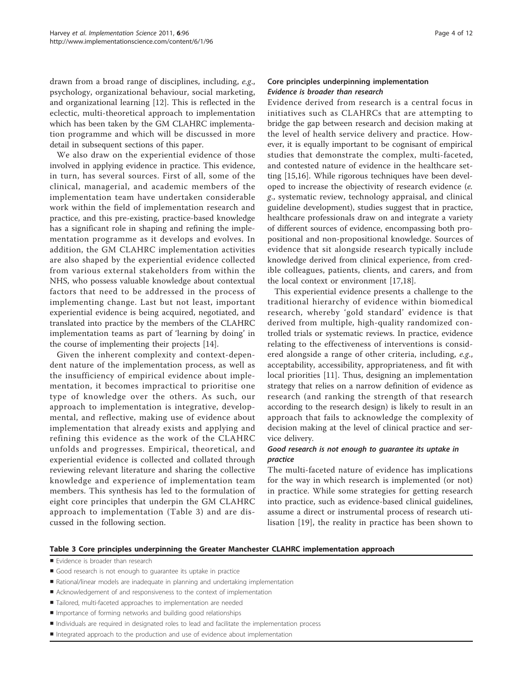drawn from a broad range of disciplines, including, e.g., psychology, organizational behaviour, social marketing, and organizational learning [\[12\]](#page-11-0). This is reflected in the eclectic, multi-theoretical approach to implementation which has been taken by the GM CLAHRC implementation programme and which will be discussed in more detail in subsequent sections of this paper.

We also draw on the experiential evidence of those involved in applying evidence in practice. This evidence, in turn, has several sources. First of all, some of the clinical, managerial, and academic members of the implementation team have undertaken considerable work within the field of implementation research and practice, and this pre-existing, practice-based knowledge has a significant role in shaping and refining the implementation programme as it develops and evolves. In addition, the GM CLAHRC implementation activities are also shaped by the experiential evidence collected from various external stakeholders from within the NHS, who possess valuable knowledge about contextual factors that need to be addressed in the process of implementing change. Last but not least, important experiential evidence is being acquired, negotiated, and translated into practice by the members of the CLAHRC implementation teams as part of 'learning by doing' in the course of implementing their projects [\[14\]](#page-11-0).

Given the inherent complexity and context-dependent nature of the implementation process, as well as the insufficiency of empirical evidence about implementation, it becomes impractical to prioritise one type of knowledge over the others. As such, our approach to implementation is integrative, developmental, and reflective, making use of evidence about implementation that already exists and applying and refining this evidence as the work of the CLAHRC unfolds and progresses. Empirical, theoretical, and experiential evidence is collected and collated through reviewing relevant literature and sharing the collective knowledge and experience of implementation team members. This synthesis has led to the formulation of eight core principles that underpin the GM CLAHRC approach to implementation (Table 3) and are discussed in the following section.

#### Core principles underpinning implementation Evidence is broader than research

Evidence derived from research is a central focus in initiatives such as CLAHRCs that are attempting to bridge the gap between research and decision making at the level of health service delivery and practice. However, it is equally important to be cognisant of empirical studies that demonstrate the complex, multi-faceted, and contested nature of evidence in the healthcare setting [[15,16\]](#page-11-0). While rigorous techniques have been developed to increase the objectivity of research evidence (e. g., systematic review, technology appraisal, and clinical guideline development), studies suggest that in practice, healthcare professionals draw on and integrate a variety of different sources of evidence, encompassing both propositional and non-propositional knowledge. Sources of evidence that sit alongside research typically include knowledge derived from clinical experience, from credible colleagues, patients, clients, and carers, and from the local context or environment [[17,18\]](#page-11-0).

This experiential evidence presents a challenge to the traditional hierarchy of evidence within biomedical research, whereby 'gold standard' evidence is that derived from multiple, high-quality randomized controlled trials or systematic reviews. In practice, evidence relating to the effectiveness of interventions is considered alongside a range of other criteria, including, e.g., acceptability, accessibility, appropriateness, and fit with local priorities [\[11](#page-11-0)]. Thus, designing an implementation strategy that relies on a narrow definition of evidence as research (and ranking the strength of that research according to the research design) is likely to result in an approach that fails to acknowledge the complexity of decision making at the level of clinical practice and service delivery.

# Good research is not enough to guarantee its uptake in practice

The multi-faceted nature of evidence has implications for the way in which research is implemented (or not) in practice. While some strategies for getting research into practice, such as evidence-based clinical guidelines, assume a direct or instrumental process of research utilisation [[19\]](#page-11-0), the reality in practice has been shown to

#### Table 3 Core principles underpinning the Greater Manchester CLAHRC implementation approach

- Evidence is broader than research
- Good research is not enough to guarantee its uptake in practice
- Rational/linear models are inadequate in planning and undertaking implementation
- Acknowledgement of and responsiveness to the context of implementation
- Tailored, multi-faceted approaches to implementation are needed
- Importance of forming networks and building good relationships
- Individuals are required in designated roles to lead and facilitate the implementation process
- Integrated approach to the production and use of evidence about implementation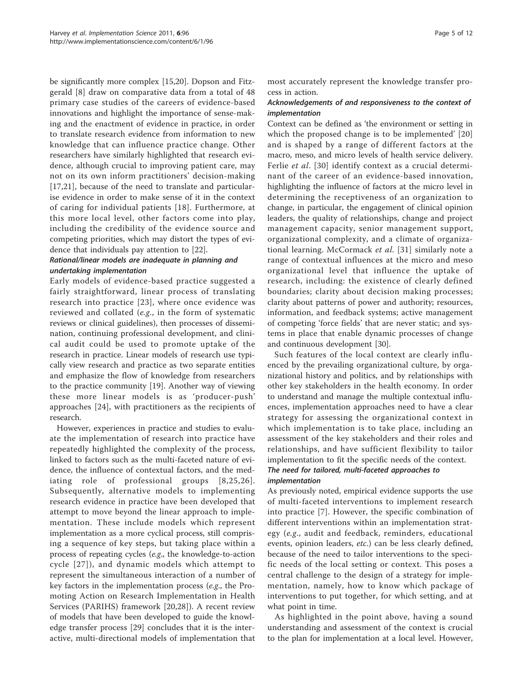be significantly more complex [[15,20\]](#page-11-0). Dopson and Fitzgerald [[8](#page-11-0)] draw on comparative data from a total of 48 primary case studies of the careers of evidence-based innovations and highlight the importance of sense-making and the enactment of evidence in practice, in order to translate research evidence from information to new knowledge that can influence practice change. Other researchers have similarly highlighted that research evidence, although crucial to improving patient care, may not on its own inform practitioners' decision-making [[17,21\]](#page-11-0), because of the need to translate and particularise evidence in order to make sense of it in the context of caring for individual patients [\[18\]](#page-11-0). Furthermore, at this more local level, other factors come into play, including the credibility of the evidence source and competing priorities, which may distort the types of evidence that individuals pay attention to [[22](#page-11-0)].

# Rational/linear models are inadequate in planning and undertaking implementation

Early models of evidence-based practice suggested a fairly straightforward, linear process of translating research into practice [[23](#page-11-0)], where once evidence was reviewed and collated (e.g., in the form of systematic reviews or clinical guidelines), then processes of dissemination, continuing professional development, and clinical audit could be used to promote uptake of the research in practice. Linear models of research use typically view research and practice as two separate entities and emphasize the flow of knowledge from researchers to the practice community [\[19](#page-11-0)]. Another way of viewing these more linear models is as 'producer-push' approaches [[24](#page-11-0)], with practitioners as the recipients of research.

However, experiences in practice and studies to evaluate the implementation of research into practice have repeatedly highlighted the complexity of the process, linked to factors such as the multi-faceted nature of evidence, the influence of contextual factors, and the mediating role of professional groups [[8](#page-11-0),[25](#page-11-0),[26\]](#page-11-0). Subsequently, alternative models to implementing research evidence in practice have been developed that attempt to move beyond the linear approach to implementation. These include models which represent implementation as a more cyclical process, still comprising a sequence of key steps, but taking place within a process of repeating cycles (e.g., the knowledge-to-action cycle [[27\]](#page-11-0)), and dynamic models which attempt to represent the simultaneous interaction of a number of key factors in the implementation process (e.g., the Promoting Action on Research Implementation in Health Services (PARIHS) framework [[20,28\]](#page-11-0)). A recent review of models that have been developed to guide the knowledge transfer process [\[29](#page-11-0)] concludes that it is the interactive, multi-directional models of implementation that most accurately represent the knowledge transfer process in action.

#### Acknowledgements of and responsiveness to the context of implementation

Context can be defined as 'the environment or setting in which the proposed change is to be implemented' [\[20](#page-11-0)] and is shaped by a range of different factors at the macro, meso, and micro levels of health service delivery. Ferlie et al. [[30](#page-11-0)] identify context as a crucial determinant of the career of an evidence-based innovation, highlighting the influence of factors at the micro level in determining the receptiveness of an organization to change, in particular, the engagement of clinical opinion leaders, the quality of relationships, change and project management capacity, senior management support, organizational complexity, and a climate of organizational learning. McCormack et al. [[31](#page-11-0)] similarly note a range of contextual influences at the micro and meso organizational level that influence the uptake of research, including: the existence of clearly defined boundaries; clarity about decision making processes; clarity about patterns of power and authority; resources, information, and feedback systems; active management of competing 'force fields' that are never static; and systems in place that enable dynamic processes of change and continuous development [\[30\]](#page-11-0).

Such features of the local context are clearly influenced by the prevailing organizational culture, by organizational history and politics, and by relationships with other key stakeholders in the health economy. In order to understand and manage the multiple contextual influences, implementation approaches need to have a clear strategy for assessing the organizational context in which implementation is to take place, including an assessment of the key stakeholders and their roles and relationships, and have sufficient flexibility to tailor implementation to fit the specific needs of the context.

#### The need for tailored, multi-faceted approaches to implementation

As previously noted, empirical evidence supports the use of multi-faceted interventions to implement research into practice [[7](#page-11-0)]. However, the specific combination of different interventions within an implementation strategy (e.g., audit and feedback, reminders, educational events, opinion leaders, etc.) can be less clearly defined, because of the need to tailor interventions to the specific needs of the local setting or context. This poses a central challenge to the design of a strategy for implementation, namely, how to know which package of interventions to put together, for which setting, and at what point in time.

As highlighted in the point above, having a sound understanding and assessment of the context is crucial to the plan for implementation at a local level. However,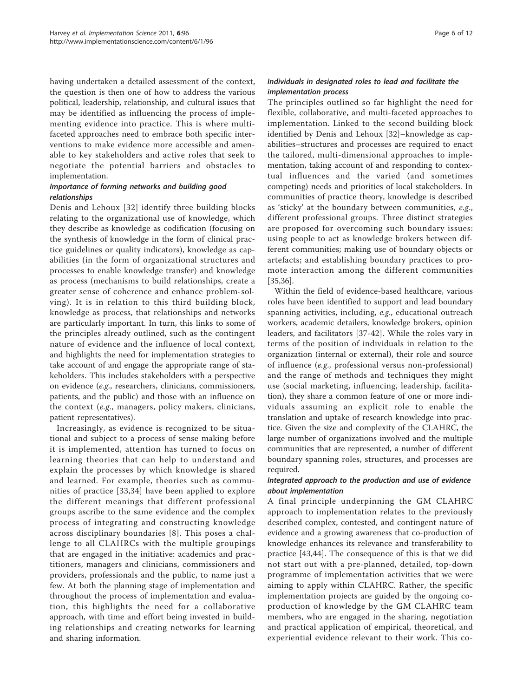having undertaken a detailed assessment of the context, the question is then one of how to address the various political, leadership, relationship, and cultural issues that may be identified as influencing the process of implementing evidence into practice. This is where multifaceted approaches need to embrace both specific interventions to make evidence more accessible and amenable to key stakeholders and active roles that seek to negotiate the potential barriers and obstacles to implementation.

#### Importance of forming networks and building good relationships

Denis and Lehoux [[32](#page-11-0)] identify three building blocks relating to the organizational use of knowledge, which they describe as knowledge as codification (focusing on the synthesis of knowledge in the form of clinical practice guidelines or quality indicators), knowledge as capabilities (in the form of organizational structures and processes to enable knowledge transfer) and knowledge as process (mechanisms to build relationships, create a greater sense of coherence and enhance problem-solving). It is in relation to this third building block, knowledge as process, that relationships and networks are particularly important. In turn, this links to some of the principles already outlined, such as the contingent nature of evidence and the influence of local context, and highlights the need for implementation strategies to take account of and engage the appropriate range of stakeholders. This includes stakeholders with a perspective on evidence (e.g., researchers, clinicians, commissioners, patients, and the public) and those with an influence on the context (e.g., managers, policy makers, clinicians, patient representatives).

Increasingly, as evidence is recognized to be situational and subject to a process of sense making before it is implemented, attention has turned to focus on learning theories that can help to understand and explain the processes by which knowledge is shared and learned. For example, theories such as communities of practice [[33](#page-11-0),[34\]](#page-11-0) have been applied to explore the different meanings that different professional groups ascribe to the same evidence and the complex process of integrating and constructing knowledge across disciplinary boundaries [[8](#page-11-0)]. This poses a challenge to all CLAHRCs with the multiple groupings that are engaged in the initiative: academics and practitioners, managers and clinicians, commissioners and providers, professionals and the public, to name just a few. At both the planning stage of implementation and throughout the process of implementation and evaluation, this highlights the need for a collaborative approach, with time and effort being invested in building relationships and creating networks for learning and sharing information.

# Individuals in designated roles to lead and facilitate the implementation process

The principles outlined so far highlight the need for flexible, collaborative, and multi-faceted approaches to implementation. Linked to the second building block identified by Denis and Lehoux [[32\]](#page-11-0)–knowledge as capabilities–structures and processes are required to enact the tailored, multi-dimensional approaches to implementation, taking account of and responding to contextual influences and the varied (and sometimes competing) needs and priorities of local stakeholders. In communities of practice theory, knowledge is described as 'sticky' at the boundary between communities, e.g., different professional groups. Three distinct strategies are proposed for overcoming such boundary issues: using people to act as knowledge brokers between different communities; making use of boundary objects or artefacts; and establishing boundary practices to promote interaction among the different communities [[35,36\]](#page-11-0).

Within the field of evidence-based healthcare, various roles have been identified to support and lead boundary spanning activities, including, e.g., educational outreach workers, academic detailers, knowledge brokers, opinion leaders, and facilitators [[37-](#page-11-0)[42](#page-12-0)]. While the roles vary in terms of the position of individuals in relation to the organization (internal or external), their role and source of influence (e.g., professional versus non-professional) and the range of methods and techniques they might use (social marketing, influencing, leadership, facilitation), they share a common feature of one or more individuals assuming an explicit role to enable the translation and uptake of research knowledge into practice. Given the size and complexity of the CLAHRC, the large number of organizations involved and the multiple communities that are represented, a number of different boundary spanning roles, structures, and processes are required.

#### Integrated approach to the production and use of evidence about implementation

A final principle underpinning the GM CLAHRC approach to implementation relates to the previously described complex, contested, and contingent nature of evidence and a growing awareness that co-production of knowledge enhances its relevance and transferability to practice [\[43,44](#page-12-0)]. The consequence of this is that we did not start out with a pre-planned, detailed, top-down programme of implementation activities that we were aiming to apply within CLAHRC. Rather, the specific implementation projects are guided by the ongoing coproduction of knowledge by the GM CLAHRC team members, who are engaged in the sharing, negotiation and practical application of empirical, theoretical, and experiential evidence relevant to their work. This co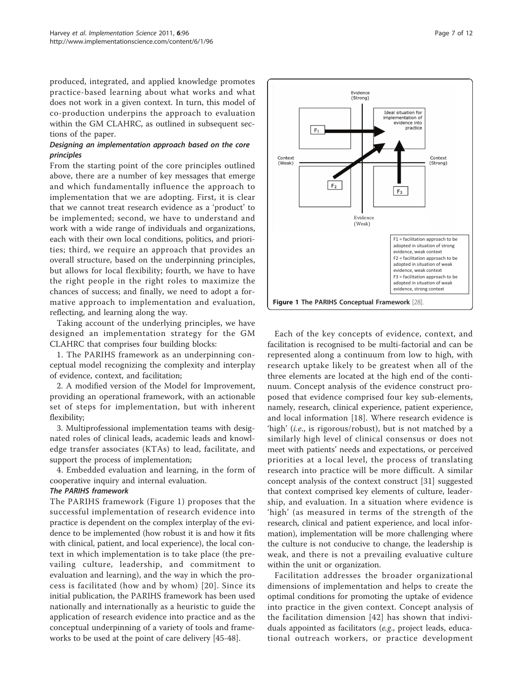<span id="page-7-0"></span>produced, integrated, and applied knowledge promotes practice-based learning about what works and what does not work in a given context. In turn, this model of co-production underpins the approach to evaluation within the GM CLAHRC, as outlined in subsequent sections of the paper.

# Designing an implementation approach based on the core principles

From the starting point of the core principles outlined above, there are a number of key messages that emerge and which fundamentally influence the approach to implementation that we are adopting. First, it is clear that we cannot treat research evidence as a 'product' to be implemented; second, we have to understand and work with a wide range of individuals and organizations, each with their own local conditions, politics, and priorities; third, we require an approach that provides an overall structure, based on the underpinning principles, but allows for local flexibility; fourth, we have to have the right people in the right roles to maximize the chances of success; and finally, we need to adopt a formative approach to implementation and evaluation, reflecting, and learning along the way.

Taking account of the underlying principles, we have designed an implementation strategy for the GM CLAHRC that comprises four building blocks:

1. The PARIHS framework as an underpinning conceptual model recognizing the complexity and interplay of evidence, context, and facilitation;

2. A modified version of the Model for Improvement, providing an operational framework, with an actionable set of steps for implementation, but with inherent flexibility;

3. Multiprofessional implementation teams with designated roles of clinical leads, academic leads and knowledge transfer associates (KTAs) to lead, facilitate, and support the process of implementation;

4. Embedded evaluation and learning, in the form of cooperative inquiry and internal evaluation.

#### The PARIHS framework

The PARIHS framework (Figure 1) proposes that the successful implementation of research evidence into practice is dependent on the complex interplay of the evidence to be implemented (how robust it is and how it fits with clinical, patient, and local experience), the local context in which implementation is to take place (the prevailing culture, leadership, and commitment to evaluation and learning), and the way in which the process is facilitated (how and by whom) [[20](#page-11-0)]. Since its initial publication, the PARIHS framework has been used nationally and internationally as a heuristic to guide the application of research evidence into practice and as the conceptual underpinning of a variety of tools and frameworks to be used at the point of care delivery [[45](#page-12-0)-[48\]](#page-12-0).



Each of the key concepts of evidence, context, and facilitation is recognised to be multi-factorial and can be represented along a continuum from low to high, with research uptake likely to be greatest when all of the three elements are located at the high end of the continuum. Concept analysis of the evidence construct proposed that evidence comprised four key sub-elements, namely, research, clinical experience, patient experience, and local information [\[18](#page-11-0)]. Where research evidence is 'high' (i.e., is rigorous/robust), but is not matched by a similarly high level of clinical consensus or does not meet with patients' needs and expectations, or perceived priorities at a local level, the process of translating research into practice will be more difficult. A similar concept analysis of the context construct [\[31](#page-11-0)] suggested that context comprised key elements of culture, leadership, and evaluation. In a situation where evidence is 'high' (as measured in terms of the strength of the research, clinical and patient experience, and local information), implementation will be more challenging where the culture is not conducive to change, the leadership is weak, and there is not a prevailing evaluative culture within the unit or organization.

Facilitation addresses the broader organizational dimensions of implementation and helps to create the optimal conditions for promoting the uptake of evidence into practice in the given context. Concept analysis of the facilitation dimension [[42\]](#page-12-0) has shown that individuals appointed as facilitators (e.g., project leads, educational outreach workers, or practice development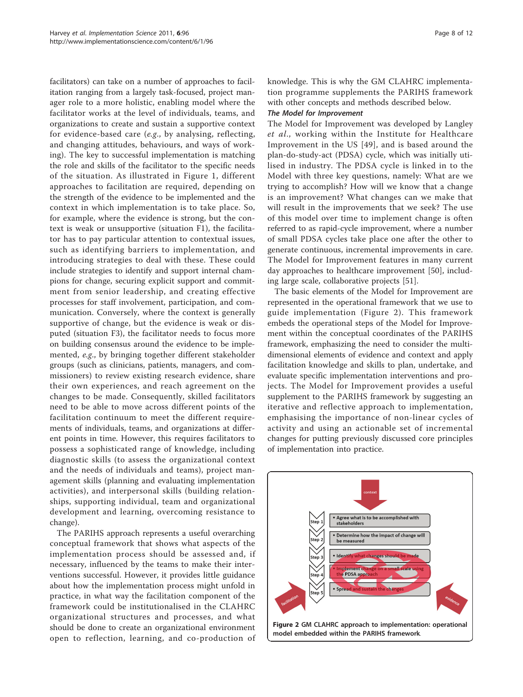facilitators) can take on a number of approaches to facilitation ranging from a largely task-focused, project manager role to a more holistic, enabling model where the facilitator works at the level of individuals, teams, and organizations to create and sustain a supportive context for evidence-based care (e.g., by analysing, reflecting, and changing attitudes, behaviours, and ways of working). The key to successful implementation is matching the role and skills of the facilitator to the specific needs of the situation. As illustrated in Figure [1](#page-7-0), different approaches to facilitation are required, depending on the strength of the evidence to be implemented and the context in which implementation is to take place. So, for example, where the evidence is strong, but the context is weak or unsupportive (situation F1), the facilitator has to pay particular attention to contextual issues, such as identifying barriers to implementation, and introducing strategies to deal with these. These could include strategies to identify and support internal champions for change, securing explicit support and commitment from senior leadership, and creating effective processes for staff involvement, participation, and communication. Conversely, where the context is generally supportive of change, but the evidence is weak or disputed (situation F3), the facilitator needs to focus more on building consensus around the evidence to be implemented, e.g., by bringing together different stakeholder groups (such as clinicians, patients, managers, and commissioners) to review existing research evidence, share their own experiences, and reach agreement on the changes to be made. Consequently, skilled facilitators need to be able to move across different points of the facilitation continuum to meet the different requirements of individuals, teams, and organizations at different points in time. However, this requires facilitators to possess a sophisticated range of knowledge, including diagnostic skills (to assess the organizational context and the needs of individuals and teams), project management skills (planning and evaluating implementation activities), and interpersonal skills (building relationships, supporting individual, team and organizational development and learning, overcoming resistance to change).

The PARIHS approach represents a useful overarching conceptual framework that shows what aspects of the implementation process should be assessed and, if necessary, influenced by the teams to make their interventions successful. However, it provides little guidance about how the implementation process might unfold in practice, in what way the facilitation component of the framework could be institutionalised in the CLAHRC organizational structures and processes, and what should be done to create an organizational environment open to reflection, learning, and co-production of

knowledge. This is why the GM CLAHRC implementation programme supplements the PARIHS framework with other concepts and methods described below.

#### The Model for Improvement

The Model for Improvement was developed by Langley et al., working within the Institute for Healthcare Improvement in the US [[49\]](#page-12-0), and is based around the plan-do-study-act (PDSA) cycle, which was initially utilised in industry. The PDSA cycle is linked in to the Model with three key questions, namely: What are we trying to accomplish? How will we know that a change is an improvement? What changes can we make that will result in the improvements that we seek? The use of this model over time to implement change is often referred to as rapid-cycle improvement, where a number of small PDSA cycles take place one after the other to generate continuous, incremental improvements in care. The Model for Improvement features in many current day approaches to healthcare improvement [[50\]](#page-12-0), including large scale, collaborative projects [[51](#page-12-0)].

The basic elements of the Model for Improvement are represented in the operational framework that we use to guide implementation (Figure 2). This framework embeds the operational steps of the Model for Improvement within the conceptual coordinates of the PARIHS framework, emphasizing the need to consider the multidimensional elements of evidence and context and apply facilitation knowledge and skills to plan, undertake, and evaluate specific implementation interventions and projects. The Model for Improvement provides a useful supplement to the PARIHS framework by suggesting an iterative and reflective approach to implementation, emphasising the importance of non-linear cycles of activity and using an actionable set of incremental changes for putting previously discussed core principles of implementation into practice.

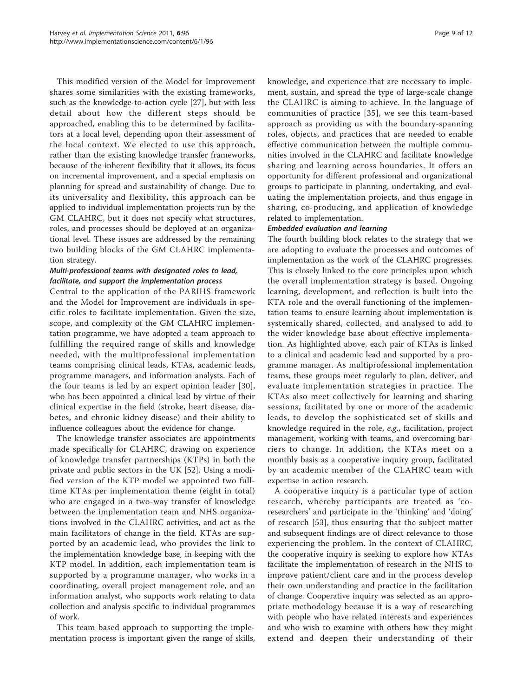This modified version of the Model for Improvement shares some similarities with the existing frameworks, such as the knowledge-to-action cycle [[27\]](#page-11-0), but with less detail about how the different steps should be approached, enabling this to be determined by facilitators at a local level, depending upon their assessment of the local context. We elected to use this approach, rather than the existing knowledge transfer frameworks, because of the inherent flexibility that it allows, its focus on incremental improvement, and a special emphasis on planning for spread and sustainability of change. Due to its universality and flexibility, this approach can be applied to individual implementation projects run by the GM CLAHRC, but it does not specify what structures, roles, and processes should be deployed at an organizational level. These issues are addressed by the remaining two building blocks of the GM CLAHRC implementation strategy.

#### Multi-professional teams with designated roles to lead, facilitate, and support the implementation process

Central to the application of the PARIHS framework and the Model for Improvement are individuals in specific roles to facilitate implementation. Given the size, scope, and complexity of the GM CLAHRC implementation programme, we have adopted a team approach to fulfilling the required range of skills and knowledge needed, with the multiprofessional implementation teams comprising clinical leads, KTAs, academic leads, programme managers, and information analysts. Each of the four teams is led by an expert opinion leader [[30](#page-11-0)], who has been appointed a clinical lead by virtue of their clinical expertise in the field (stroke, heart disease, diabetes, and chronic kidney disease) and their ability to influence colleagues about the evidence for change.

The knowledge transfer associates are appointments made specifically for CLAHRC, drawing on experience of knowledge transfer partnerships (KTPs) in both the private and public sectors in the UK [\[52\]](#page-12-0). Using a modified version of the KTP model we appointed two fulltime KTAs per implementation theme (eight in total) who are engaged in a two-way transfer of knowledge between the implementation team and NHS organizations involved in the CLAHRC activities, and act as the main facilitators of change in the field. KTAs are supported by an academic lead, who provides the link to the implementation knowledge base, in keeping with the KTP model. In addition, each implementation team is supported by a programme manager, who works in a coordinating, overall project management role, and an information analyst, who supports work relating to data collection and analysis specific to individual programmes of work.

This team based approach to supporting the implementation process is important given the range of skills,

knowledge, and experience that are necessary to implement, sustain, and spread the type of large-scale change the CLAHRC is aiming to achieve. In the language of communities of practice [[35](#page-11-0)], we see this team-based approach as providing us with the boundary-spanning roles, objects, and practices that are needed to enable effective communication between the multiple communities involved in the CLAHRC and facilitate knowledge sharing and learning across boundaries. It offers an opportunity for different professional and organizational groups to participate in planning, undertaking, and evaluating the implementation projects, and thus engage in sharing, co-producing, and application of knowledge related to implementation.

# Embedded evaluation and learning

The fourth building block relates to the strategy that we are adopting to evaluate the processes and outcomes of implementation as the work of the CLAHRC progresses. This is closely linked to the core principles upon which the overall implementation strategy is based. Ongoing learning, development, and reflection is built into the KTA role and the overall functioning of the implementation teams to ensure learning about implementation is systemically shared, collected, and analysed to add to the wider knowledge base about effective implementation. As highlighted above, each pair of KTAs is linked to a clinical and academic lead and supported by a programme manager. As multiprofessional implementation teams, these groups meet regularly to plan, deliver, and evaluate implementation strategies in practice. The KTAs also meet collectively for learning and sharing sessions, facilitated by one or more of the academic leads, to develop the sophisticated set of skills and knowledge required in the role, e.g., facilitation, project management, working with teams, and overcoming barriers to change. In addition, the KTAs meet on a monthly basis as a cooperative inquiry group, facilitated by an academic member of the CLAHRC team with expertise in action research.

A cooperative inquiry is a particular type of action research, whereby participants are treated as 'coresearchers' and participate in the 'thinking' and 'doing' of research [[53](#page-12-0)], thus ensuring that the subject matter and subsequent findings are of direct relevance to those experiencing the problem. In the context of CLAHRC, the cooperative inquiry is seeking to explore how KTAs facilitate the implementation of research in the NHS to improve patient/client care and in the process develop their own understanding and practice in the facilitation of change. Cooperative inquiry was selected as an appropriate methodology because it is a way of researching with people who have related interests and experiences and who wish to examine with others how they might extend and deepen their understanding of their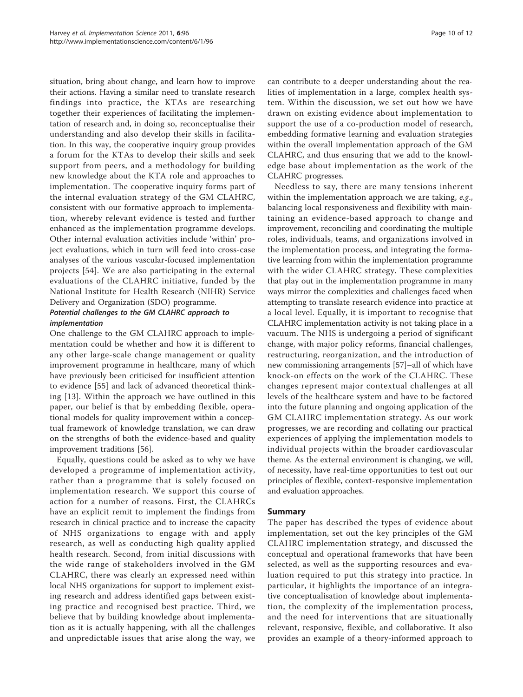situation, bring about change, and learn how to improve their actions. Having a similar need to translate research findings into practice, the KTAs are researching together their experiences of facilitating the implementation of research and, in doing so, reconceptualise their understanding and also develop their skills in facilitation. In this way, the cooperative inquiry group provides a forum for the KTAs to develop their skills and seek support from peers, and a methodology for building new knowledge about the KTA role and approaches to implementation. The cooperative inquiry forms part of the internal evaluation strategy of the GM CLAHRC, consistent with our formative approach to implementation, whereby relevant evidence is tested and further enhanced as the implementation programme develops. Other internal evaluation activities include 'within' project evaluations, which in turn will feed into cross-case analyses of the various vascular-focused implementation projects [[54](#page-12-0)]. We are also participating in the external evaluations of the CLAHRC initiative, funded by the National Institute for Health Research (NIHR) Service Delivery and Organization (SDO) programme.

# Potential challenges to the GM CLAHRC approach to implementation

One challenge to the GM CLAHRC approach to implementation could be whether and how it is different to any other large-scale change management or quality improvement programme in healthcare, many of which have previously been criticised for insufficient attention to evidence [[55\]](#page-12-0) and lack of advanced theoretical thinking [[13\]](#page-11-0). Within the approach we have outlined in this paper, our belief is that by embedding flexible, operational models for quality improvement within a conceptual framework of knowledge translation, we can draw on the strengths of both the evidence-based and quality improvement traditions [[56](#page-12-0)].

Equally, questions could be asked as to why we have developed a programme of implementation activity, rather than a programme that is solely focused on implementation research. We support this course of action for a number of reasons. First, the CLAHRCs have an explicit remit to implement the findings from research in clinical practice and to increase the capacity of NHS organizations to engage with and apply research, as well as conducting high quality applied health research. Second, from initial discussions with the wide range of stakeholders involved in the GM CLAHRC, there was clearly an expressed need within local NHS organizations for support to implement existing research and address identified gaps between existing practice and recognised best practice. Third, we believe that by building knowledge about implementation as it is actually happening, with all the challenges and unpredictable issues that arise along the way, we

can contribute to a deeper understanding about the realities of implementation in a large, complex health system. Within the discussion, we set out how we have drawn on existing evidence about implementation to support the use of a co-production model of research, embedding formative learning and evaluation strategies within the overall implementation approach of the GM CLAHRC, and thus ensuring that we add to the knowledge base about implementation as the work of the CLAHRC progresses.

Needless to say, there are many tensions inherent within the implementation approach we are taking, e.g., balancing local responsiveness and flexibility with maintaining an evidence-based approach to change and improvement, reconciling and coordinating the multiple roles, individuals, teams, and organizations involved in the implementation process, and integrating the formative learning from within the implementation programme with the wider CLAHRC strategy. These complexities that play out in the implementation programme in many ways mirror the complexities and challenges faced when attempting to translate research evidence into practice at a local level. Equally, it is important to recognise that CLAHRC implementation activity is not taking place in a vacuum. The NHS is undergoing a period of significant change, with major policy reforms, financial challenges, restructuring, reorganization, and the introduction of new commissioning arrangements [[57](#page-12-0)]–all of which have knock-on effects on the work of the CLAHRC. These changes represent major contextual challenges at all levels of the healthcare system and have to be factored into the future planning and ongoing application of the GM CLAHRC implementation strategy. As our work progresses, we are recording and collating our practical experiences of applying the implementation models to individual projects within the broader cardiovascular theme. As the external environment is changing, we will, of necessity, have real-time opportunities to test out our principles of flexible, context-responsive implementation and evaluation approaches.

# Summary

The paper has described the types of evidence about implementation, set out the key principles of the GM CLAHRC implementation strategy, and discussed the conceptual and operational frameworks that have been selected, as well as the supporting resources and evaluation required to put this strategy into practice. In particular, it highlights the importance of an integrative conceptualisation of knowledge about implementation, the complexity of the implementation process, and the need for interventions that are situationally relevant, responsive, flexible, and collaborative. It also provides an example of a theory-informed approach to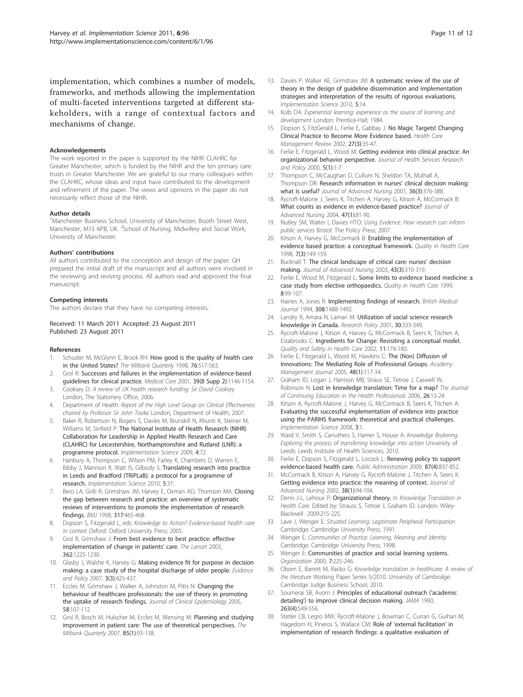<span id="page-11-0"></span>implementation, which combines a number of models, frameworks, and methods allowing the implementation of multi-faceted interventions targeted at different stakeholders, with a range of contextual factors and mechanisms of change.

#### Acknowledgements

The work reported in the paper is supported by the NIHR CLAHRC for Greater Manchester, which is funded by the NIHR and the ten primary care trusts in Greater Manchester. We are grateful to our many colleagues within the CLAHRC, whose ideas and input have contributed to the development and refinement of the paper. The views and opinions in the paper do not necessarily reflect those of the NIHR.

#### Author details

<sup>1</sup>Manchester Business School, University of Manchester, Booth Street West, Manchester, M15 6PB, UK. <sup>2</sup>School of Nursing, Midwifery and Social Work, University of Manchester.

#### Authors' contributions

All authors contributed to the conception and design of the paper. GH prepared the initial draft of the manuscript and all authors were involved in the reviewing and revising process. All authors read and approved the final manuscript.

#### Competing interests

The authors declare that they have no competing interests.

#### Received: 11 March 2011 Accepted: 23 August 2011 Published: 23 August 2011

#### References

- 1. Schuster M, McGlynn E, Brook RH: [How good is the quality of health care](http://www.ncbi.nlm.nih.gov/pubmed/9879302?dopt=Abstract) [in the United States?](http://www.ncbi.nlm.nih.gov/pubmed/9879302?dopt=Abstract) The Milbank Quarterly 1998, 76:517-563.
- 2. Grol R: [Successes and failures in the implementation of evidence-based](http://www.ncbi.nlm.nih.gov/pubmed/11606869?dopt=Abstract) [guidelines for clinical practice.](http://www.ncbi.nlm.nih.gov/pubmed/11606869?dopt=Abstract) Medical Care 2001, 39(8 Supp 2):1146-1154.
- 3. Cooksey D: A review of UK health research funding: Sir David Cooksey London, The Stationery Office; 2006.
- 4. Department of Health: Report of the High Level Group on Clinical Effectiveness chaired by Professor Sir John Tooke London, Department of Health; 2007.
- 5. Baker R, Robertson N, Rogers S, Davies M, Brunskill N, Khunti K, Steiner M, Williams M, Sinfield P: [The National Institute of Health Research \(NIHR\)](http://www.ncbi.nlm.nih.gov/pubmed/19906317?dopt=Abstract) [Collaboration for Leadership in Applied Health Research and Care](http://www.ncbi.nlm.nih.gov/pubmed/19906317?dopt=Abstract) [\(CLAHRC\) for Leicestershire, Northamptonshire and Rutland \(LNR\): a](http://www.ncbi.nlm.nih.gov/pubmed/19906317?dopt=Abstract) [programme protocol.](http://www.ncbi.nlm.nih.gov/pubmed/19906317?dopt=Abstract) Implementation Science 2009, 4:72.
- Hanbury A, Thompson C, Wilson PM, Farley K, Chambers D, Warren E, Bibby J, Mannion R, Watt IS, Gilbody S: [Translating research into practice](http://www.ncbi.nlm.nih.gov/pubmed/20492651?dopt=Abstract) [in Leeds and Bradford \(TRiPLaB\): a protocol for a programme of](http://www.ncbi.nlm.nih.gov/pubmed/20492651?dopt=Abstract) [research.](http://www.ncbi.nlm.nih.gov/pubmed/20492651?dopt=Abstract) Implementation Science 2010, 5:37.
- 7. Bero LA, Grilli R, Grimshaw JM, Harvey E, Oxman AD, Thomson MA: [Closing](http://www.ncbi.nlm.nih.gov/pubmed/9703533?dopt=Abstract) [the gap between research and practice: an overview of systematic](http://www.ncbi.nlm.nih.gov/pubmed/9703533?dopt=Abstract) [reviews of interventions to promote the implementation of research](http://www.ncbi.nlm.nih.gov/pubmed/9703533?dopt=Abstract) [findings.](http://www.ncbi.nlm.nih.gov/pubmed/9703533?dopt=Abstract) BMJ 1998, 317:465-468.
- 8. Dopson S, Fitzgerald L, eds: Knowledge to Action? Evidence-based health care in context Oxford: Oxford University Press; 2005.
- Grol R, Grimshaw J: From best evidence to best practice: effective implementation of change in patients' care. The Lancet 2003, 362:1225-1230.
- 10. Glasby J, Walshe K, Harvey G: Making evidence fit for purpose in decision making: a case study of the hospital discharge of older people. Evidence and Policy 2007, 3(3):425-437.
- 11. Eccles M, Grimshaw J, Walker A, Johnston M, Pitts N: [Changing the](http://www.ncbi.nlm.nih.gov/pubmed/15680740?dopt=Abstract) [behaviour of healthcare professionals: the use of theory in promoting](http://www.ncbi.nlm.nih.gov/pubmed/15680740?dopt=Abstract) [the uptake of research findings.](http://www.ncbi.nlm.nih.gov/pubmed/15680740?dopt=Abstract) Journal of Clinical Epidemiology 2005, 58:107-112.
- 12. Grol R, Bosch M, Hulscher M, Eccles M, Wensing M: [Planning and studying](http://www.ncbi.nlm.nih.gov/pubmed/17319808?dopt=Abstract) [improvement in patient care: The use of theoretical perspectives.](http://www.ncbi.nlm.nih.gov/pubmed/17319808?dopt=Abstract) The Milbank Quarterly 2007, 85(1):93-138.
- 13. Davies P, Walker AE, Grimshaw JM: [A systematic review of the use of](http://www.ncbi.nlm.nih.gov/pubmed/20181130?dopt=Abstract) [theory in the design of guideline dissemination and implementation](http://www.ncbi.nlm.nih.gov/pubmed/20181130?dopt=Abstract) [strategies and interpretation of the results of rigorous evaluations.](http://www.ncbi.nlm.nih.gov/pubmed/20181130?dopt=Abstract) Implementation Science 2010, 5:14.
- 14. Kolb DA: Experiential learning: experience as the source of learning and development London: Prentice-Hall; 1984.
- 15. Dopson S, FitzGerald L, Ferlie E, Gabbay J: [No Magic Targets! Changing](http://www.ncbi.nlm.nih.gov/pubmed/12146782?dopt=Abstract) [Clinical Practice to Become More Evidence based.](http://www.ncbi.nlm.nih.gov/pubmed/12146782?dopt=Abstract) Health Care Management Review 2002, 27(3):35-47.
- 16. Ferlie E, Fitzgerald L, Wood M: [Getting evidence into clinical practice: An](http://www.ncbi.nlm.nih.gov/pubmed/10787580?dopt=Abstract) [organizational behavior perspective.](http://www.ncbi.nlm.nih.gov/pubmed/10787580?dopt=Abstract) Journal of Health Services Research and Policy 2000, 5(1):1-7.
- 17. Thompson C, McCaughan D, Cullum N, Sheldon TA, Mulhall A, Thompson DR: [Research information in nurses](http://www.ncbi.nlm.nih.gov/pubmed/11686752?dopt=Abstract)' clinical decision making: [what is useful?](http://www.ncbi.nlm.nih.gov/pubmed/11686752?dopt=Abstract) Journal of Advanced Nursing 2001, 36(3):376-388.
- 18. Rycroft-Malone J, Seers K, Titchen A, Harvey G, Kitson A, McCormack B: [What counts as evidence in evidence-based practice?](http://www.ncbi.nlm.nih.gov/pubmed/15186471?dopt=Abstract) Journal of Advanced Nursing 2004, 47(1):81-90.
- 19. Nutley SM, Walter I, Davies HTO: Using Evidence: How research can inform public services Bristol: The Policy Press; 2007.
- 20. Kitson A, Harvey G, McCormack B: [Enabling the implementation of](http://www.ncbi.nlm.nih.gov/pubmed/10185141?dopt=Abstract) [evidence based practice: a conceptual framework.](http://www.ncbi.nlm.nih.gov/pubmed/10185141?dopt=Abstract) Quality in Health Care 1998, 7(3):149-159.
- 21. Bucknall T: [The clinical landscape of critical care: nurses](http://www.ncbi.nlm.nih.gov/pubmed/12859790?dopt=Abstract)' decision [making.](http://www.ncbi.nlm.nih.gov/pubmed/12859790?dopt=Abstract) Journal of Advanced Nursing 2003, 43(3):310-319.
- 22. Ferlie E, Wood M, Fitzgerald L: [Some limits to evidence based medicine: a](http://www.ncbi.nlm.nih.gov/pubmed/10557685?dopt=Abstract) [case study from elective orthopaedics.](http://www.ncbi.nlm.nih.gov/pubmed/10557685?dopt=Abstract) Quality in Health Care 1999, 8:99-107.
- 23. Haines A, Jones R: [Implementing findings of research.](http://www.ncbi.nlm.nih.gov/pubmed/8019284?dopt=Abstract) British Medical Journal 1994, 308:1488-1492.
- 24. Landry R, Amara N, Lamari M: Utilization of social science research knowledge in Canada. Research Policy 2001, 30:333-349.
- 25. Rycroft-Malone J, Kitson A, Harvey G, McCormack B, Seers K, Titchen A, Estabrooks C: [Ingredients for Change: Revisiting a conceptual model.](http://www.ncbi.nlm.nih.gov/pubmed/12448812?dopt=Abstract) Quality and Safety in Health Care 2002, 11:174-180.
- 26. Ferlie E, Fitzgerald L, Wood M, Hawkins C: The (Non) Diffusion of Innovations: The Mediating Role of Professional Groups. Academy Management Journal 2005, 48(1):117-34.
- 27. Graham ID, Logan J, Harrison MB, Straus SE, Tetroe J, Caswell W, Robinson N: Lost in knowledge translation: Time for a map? The Journal of Continuing Education in the Health Professionals 2006, 26:13-24.
- 28. Kitson A, Rycroft-Malone J, Harvey G, McCormack B, Seers K, Titchen A: [Evaluating the successful implementation of evidence into practice](http://www.ncbi.nlm.nih.gov/pubmed/18179688?dopt=Abstract) [using the PARIHS framework: theoretical and practical challenges.](http://www.ncbi.nlm.nih.gov/pubmed/18179688?dopt=Abstract) Implementation Science 2008, 3:1.
- 29. Ward V, Smith S, Carruthers S, Hamer S, House A: Knowledge Brokering: Exploring the process of transferring knowledge into action University of Leeds: Leeds Institute of Health Sciences; 2010.
- 30. Ferlie E, Dopson S, Fitzgerald L, Locock L: Renewing policy to support evidence-based health care. Public Administration 2009, 87(4):837-852.
- 31. McCormack B, Kitson A, Harvey G, Rycroft-Malone J, Titchen A, Seers K: [Getting evidence into practice: the meaning of context.](http://www.ncbi.nlm.nih.gov/pubmed/11895535?dopt=Abstract) Journal of Advanced Nursing 2002, 38(1):94-104.
- 32. Denis J-L, Lehoux P: Organizational theory. In Knowledge Translation in Health Care. Edited by: Strauss S, Tetroe J, Graham ID. London: Wiley-Blackwell 2009:215-225.
- 33. Lave J, Wenger E: Situated Learning: Legitimate Peripheral Participation Cambridge: Cambridge University Press; 1991.
- 34. Wenger E: Communities of Practice: Learning, Meaning and Identity Cambridge: Cambridge University Press; 1998.
- 35. Wenger E: Communities of practice and social learning systems. Organization 2000, 7:225-246.
- 36. Oborn E, Barrett M, Racko G: Knowledge translation in healthcare: A review of the literature Working Paper Series 5/2010. University of Cambridge: Cambridge Judge Business School; 2010.
- 37. Soumerai SB, Avorn J: [Principles of educational outreach \(](http://www.ncbi.nlm.nih.gov/pubmed/2104640?dopt=Abstract)'academic detailing'[\) to improve clinical decision making.](http://www.ncbi.nlm.nih.gov/pubmed/2104640?dopt=Abstract) JAMA 1990, 263(4):549-556.
- 38. Stetler CB, Legro MW, Rycroft-Malone J, Bowman C, Curran G, Guihan M, Hagedorn H, Pineros S, Wallace CM: Role of '[external facilitation](http://www.ncbi.nlm.nih.gov/pubmed/17049080?dopt=Abstract)' in [implementation of research findings: a qualitative evaluation of](http://www.ncbi.nlm.nih.gov/pubmed/17049080?dopt=Abstract)